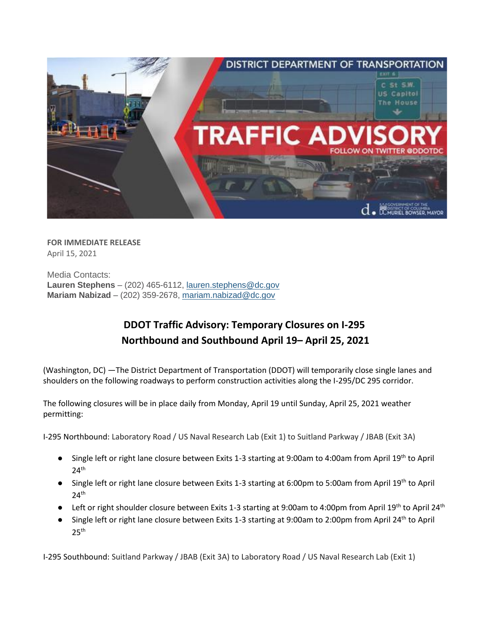

**FOR IMMEDIATE RELEASE** April 15, 2021

Media Contacts: **Lauren Stephens** – (202) 465-6112, [lauren.stephens@dc.gov](mailto:lauren.stephens@dc.gov) **Mariam Nabizad** – (202) 359-2678, [mariam.nabizad@dc.gov](mailto:mariam.nabizad@dc.gov)

## **DDOT Traffic Advisory: Temporary Closures on I-295 Northbound and Southbound April 19– April 25, 2021**

(Washington, DC) —The District Department of Transportation (DDOT) will temporarily close single lanes and shoulders on the following roadways to perform construction activities along the I-295/DC 295 corridor.

The following closures will be in place daily from Monday, April 19 until Sunday, April 25, 2021 weather permitting:

I-295 Northbound: Laboratory Road / US Naval Research Lab (Exit 1) to Suitland Parkway / JBAB (Exit 3A)

- Single left or right lane closure between Exits 1-3 starting at 9:00am to 4:00am from April 19<sup>th</sup> to April  $24<sup>th</sup>$
- Single left or right lane closure between Exits 1-3 starting at 6:00pm to 5:00am from April 19<sup>th</sup> to April  $24^{\text{th}}$
- Left or right shoulder closure between Exits 1-3 starting at 9:00am to 4:00pm from April 19<sup>th</sup> to April 24<sup>th</sup>
- Single left or right lane closure between Exits 1-3 starting at 9:00am to 2:00pm from April 24<sup>th</sup> to April  $25^{\text{th}}$

I-295 Southbound: Suitland Parkway / JBAB (Exit 3A) to Laboratory Road / US Naval Research Lab (Exit 1)